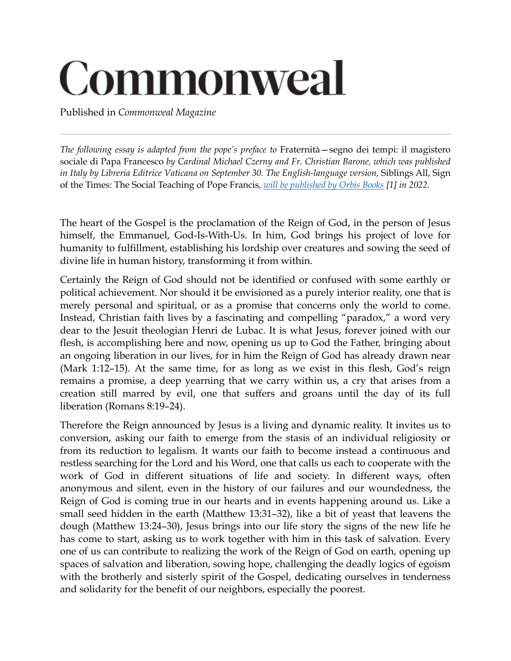## Commonweal

Published in *Commonweal Magazine*

*The following essay is adapted from the pope's preface to* Fraternità—segno dei tempi: il magistero sociale di Papa Francesco *by Cardinal Michael Czerny and Fr. Christian Barone, which was published in Italy by Libreria Editrice Vaticana on September 30. The English-language version,* Siblings All, Sign of the Times: The Social Teaching of Pope Francis*, [will be published by Orbis Books](https://www.ncronline.org/news/francis-chronicles/pope-says-vatican-ii-shaped-his-theology-including-social-teaching) [1] in 2022.*

The heart of the Gospel is the proclamation of the Reign of God, in the person of Jesus himself, the Emmanuel, God-Is-With-Us. In him, God brings his project of love for humanity to fulfillment, establishing his lordship over creatures and sowing the seed of divine life in human history, transforming it from within.

Certainly the Reign of God should not be identified or confused with some earthly or political achievement. Nor should it be envisioned as a purely interior reality, one that is merely personal and spiritual, or as a promise that concerns only the world to come. Instead, Christian faith lives by a fascinating and compelling "paradox," a word very dear to the Jesuit theologian Henri de Lubac. It is what Jesus, forever joined with our flesh, is accomplishing here and now, opening us up to God the Father, bringing about an ongoing liberation in our lives, for in him the Reign of God has already drawn near (Mark 1:12–15). At the same time, for as long as we exist in this flesh, God's reign remains a promise, a deep yearning that we carry within us, a cry that arises from a creation still marred by evil, one that suffers and groans until the day of its full liberation (Romans 8:19–24).

Therefore the Reign announced by Jesus is a living and dynamic reality. It invites us to conversion, asking our faith to emerge from the stasis of an individual religiosity or from its reduction to legalism. It wants our faith to become instead a continuous and restless searching for the Lord and his Word, one that calls us each to cooperate with the work of God in different situations of life and society. In different ways, often anonymous and silent, even in the history of our failures and our woundedness, the Reign of God is coming true in our hearts and in events happening around us. Like a small seed hidden in the earth (Matthew 13:31–32), like a bit of yeast that leavens the dough (Matthew 13:24–30), Jesus brings into our life story the signs of the new life he has come to start, asking us to work together with him in this task of salvation. Every one of us can contribute to realizing the work of the Reign of God on earth, opening up spaces of salvation and liberation, sowing hope, challenging the deadly logics of egoism with the brotherly and sisterly spirit of the Gospel, dedicating ourselves in tenderness and solidarity for the benefit of our neighbors, especially the poorest.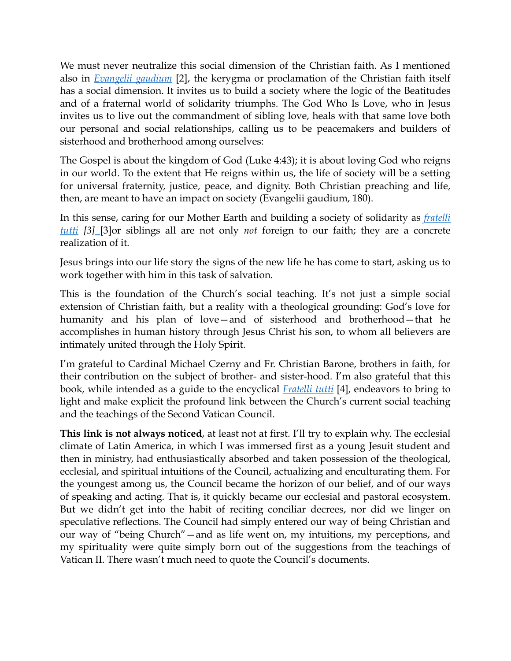We must never neutralize this social dimension of the Christian faith. As I mentioned also in *[Evangelii gaudium](https://www.vatican.va/content/francesco/en/apost_exhortations/documents/papa-francesco_esortazione-ap_20131124_evangelii-gaudium.html)* [2], the kerygma or proclamation of the Christian faith itself has a social dimension. It invites us to build a society where the logic of the Beatitudes and of a fraternal world of solidarity triumphs. The God Who Is Love, who in Jesus invites us to live out the commandment of sibling love, heals with that same love both our personal and social relationships, calling us to be peacemakers and builders of sisterhood and brotherhood among ourselves:

The Gospel is about the kingdom of God (Luke 4:43); it is about loving God who reigns in our world. To the extent that He reigns within us, the life of society will be a setting for universal fraternity, justice, peace, and dignity. Both Christian preaching and life, then, are meant to have an impact on society (Evangelii gaudium, 180).

In this sense, caring for our Mother Earth and building a society of solidarity as *[fratelli](https://www.commonwealmagazine.org/fratelli-tutti-0)  [tutti](https://www.commonwealmagazine.org/fratelli-tutti-0) [3]* [3]or siblings all are not only *not* foreign to our faith; they are a concrete realization of it.

Jesus brings into our life story the signs of the new life he has come to start, asking us to work together with him in this task of salvation.

This is the foundation of the Church's social teaching. It's not just a simple social extension of Christian faith, but a reality with a theological grounding: God's love for humanity and his plan of love—and of sisterhood and brotherhood—that he accomplishes in human history through Jesus Christ his son, to whom all believers are intimately united through the Holy Spirit.

I'm grateful to Cardinal Michael Czerny and Fr. Christian Barone, brothers in faith, for their contribution on the subject of brother- and sister-hood. I'm also grateful that this book, while intended as a guide to the encyclical *[Fratelli tutti](https://www.vatican.va/content/francesco/en/encyclicals/documents/papa-francesco_20201003_enciclica-fratelli-tutti.html)* [4], endeavors to bring to light and make explicit the profound link between the Church's current social teaching and the teachings of the Second Vatican Council.

**This link is not always noticed**, at least not at first. I'll try to explain why. The ecclesial climate of Latin America, in which I was immersed first as a young Jesuit student and then in ministry, had enthusiastically absorbed and taken possession of the theological, ecclesial, and spiritual intuitions of the Council, actualizing and enculturating them. For the youngest among us, the Council became the horizon of our belief, and of our ways of speaking and acting. That is, it quickly became our ecclesial and pastoral ecosystem. But we didn't get into the habit of reciting conciliar decrees, nor did we linger on speculative reflections. The Council had simply entered our way of being Christian and our way of "being Church"—and as life went on, my intuitions, my perceptions, and my spirituality were quite simply born out of the suggestions from the teachings of Vatican II. There wasn't much need to quote the Council's documents.